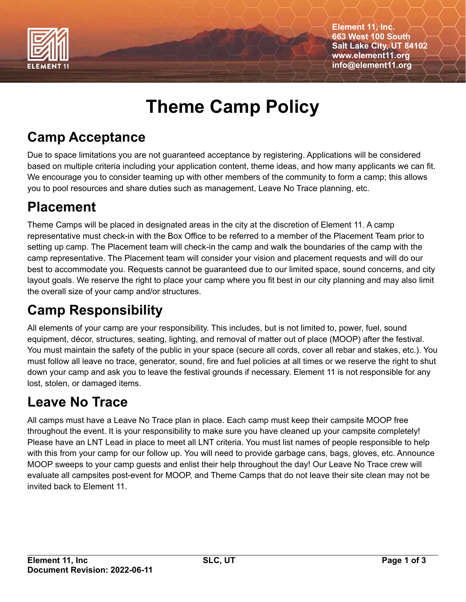

**Element 11, Inc. 663 West 100 South Salt Lake City, UT 84102 www.element11.org info@element11.org**

# **Theme Camp Policy**

#### **Camp Acceptance**

Due to space limitations you are not guaranteed acceptance by registering. Applications will be considered based on multiple criteria including your application content, theme ideas, and how many applicants we can fit. We encourage you to consider teaming up with other members of the community to form a camp; this allows you to pool resources and share duties such as management, Leave No Trace planning, etc.

# **Placement**

Theme Camps will be placed in designated areas in the city at the discretion of Element 11. A camp representative must check-in with the Box Office to be referred to a member of the Placement Team prior to setting up camp. The Placement team will check-in the camp and walk the boundaries of the camp with the camp representative. The Placement team will consider your vision and placement requests and will do our best to accommodate you. Requests cannot be guaranteed due to our limited space, sound concerns, and city layout goals. We reserve the right to place your camp where you fit best in our city planning and may also limit the overall size of your camp and/or structures.

# **Camp Responsibility**

All elements of your camp are your responsibility. This includes, but is not limited to, power, fuel, sound equipment, décor, structures, seating, lighting, and removal of matter out of place (MOOP) after the festival. You must maintain the safety of the public in your space (secure all cords, cover all rebar and stakes, etc.). You must follow all leave no trace, generator, sound, fire and fuel policies at all times or we reserve the right to shut down your camp and ask you to leave the festival grounds if necessary. Element 11 is not responsible for any lost, stolen, or damaged items.

#### **Leave No Trace**

All camps must have a Leave No Trace plan in place. Each camp must keep their campsite MOOP free throughout the event. It is your responsibility to make sure you have cleaned up your campsite completely! Please have an LNT Lead in place to meet all LNT criteria. You must list names of people responsible to help with this from your camp for our follow up. You will need to provide garbage cans, bags, gloves, etc. Announce MOOP sweeps to your camp guests and enlist their help throughout the day! Our Leave No Trace crew will evaluate all campsites post-event for MOOP, and Theme Camps that do not leave their site clean may not be invited back to Element 11.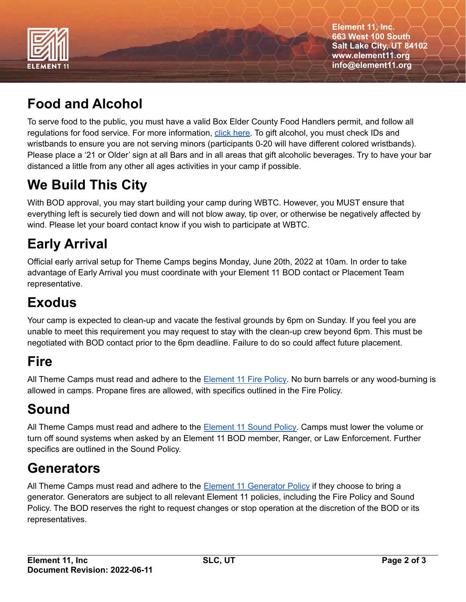

**Element 11, Inc. 663 West 100 South Salt Lake City, UT 84102 www.element11.org info@element11.org**

# **Food and Alcohol**

To serve food to the public, you must have a valid Box Elder County Food Handlers permit, and follow all regulations for food service. For more information, click [here.](https://brhd.org/classes/) To gift alcohol, you must check IDs and wristbands to ensure you are not serving minors (participants 0-20 will have different colored wristbands). Please place a '21 or Older' sign at all Bars and in all areas that gift alcoholic beverages. Try to have your bar distanced a little from any other all ages activities in your camp if possible.

# **We Build This City**

With BOD approval, you may start building your camp during WBTC. However, you MUST ensure that everything left is securely tied down and will not blow away, tip over, or otherwise be negatively affected by wind. Please let your board contact know if you wish to participate at WBTC.

#### **Early Arrival**

Official early arrival setup for Theme Camps begins Monday, June 20th, 2022 at 10am. In order to take advantage of Early Arrival you must coordinate with your Element 11 BOD contact or Placement Team representative.

#### **Exodus**

Your camp is expected to clean-up and vacate the festival grounds by 6pm on Sunday. If you feel you are unable to meet this requirement you may request to stay with the clean-up crew beyond 6pm. This must be negotiated with BOD contact prior to the 6pm deadline. Failure to do so could affect future placement.

#### **Fire**

All Theme Camps must read and adhere to the **[Element](https://www.element11.org/documents/Element_11_Fire_Performance_and_Burnable_Art_Policy.pdf) 11 Fire Policy**. No burn barrels or any wood-burning is allowed in camps. Propane fires are allowed, with specifics outlined in the Fire Policy.

# **Sound**

All Theme Camps must read and adhere to the [Element](https://www.element11.org/documents/Element_11_Sound_Policy.pdf) 11 Sound Policy. Camps must lower the volume or turn off sound systems when asked by an Element 11 BOD member, Ranger, or Law Enforcement. Further specifics are outlined in the Sound Policy.

# **Generators**

All Theme Camps must read and adhere to the Element 11 [Generator](https://www.element11.org/documents/Element_11_General_Camping_Generator_and_Fire_Policy.pdf) Policy if they choose to bring a generator. Generators are subject to all relevant Element 11 policies, including the Fire Policy and Sound Policy. The BOD reserves the right to request changes or stop operation at the discretion of the BOD or its representatives.